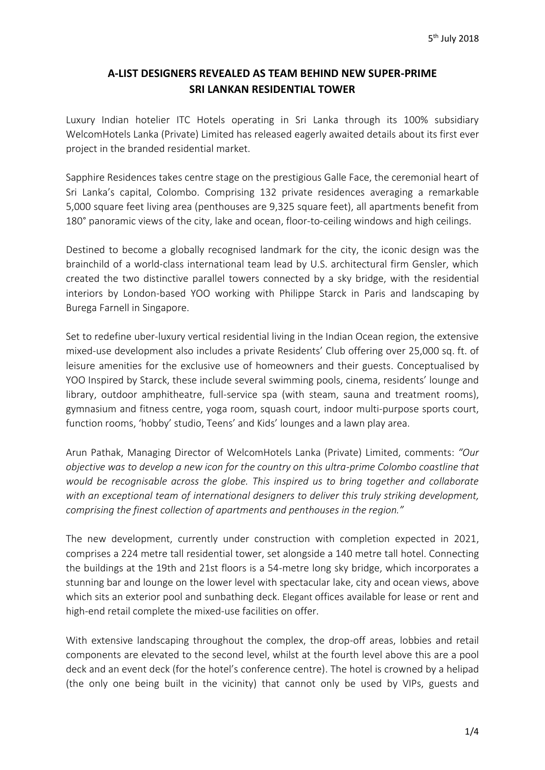# **A-LIST DESIGNERS REVEALED AS TEAM BEHIND NEW SUPER-PRIME SRI LANKAN RESIDENTIAL TOWER**

Luxury Indian hotelier ITC Hotels operating in Sri Lanka through its 100% subsidiary WelcomHotels Lanka (Private) Limited has released eagerly awaited details about its first ever project in the branded residential market.

Sapphire Residences takes centre stage on the prestigious Galle Face, the ceremonial heart of Sri Lanka's capital, Colombo. Comprising 132 private residences averaging a remarkable 5,000 square feet living area (penthouses are 9,325 square feet), all apartments benefit from 180° panoramic views of the city, lake and ocean, floor-to-ceiling windows and high ceilings.

Destined to become a globally recognised landmark for the city, the iconic design was the brainchild of a world-class international team lead by U.S. architectural firm Gensler, which created the two distinctive parallel towers connected by a sky bridge, with the residential interiors by London-based YOO working with Philippe Starck in Paris and landscaping by Burega Farnell in Singapore.

Set to redefine uber-luxury vertical residential living in the Indian Ocean region, the extensive mixed-use development also includes a private Residents' Club offering over 25,000 sq. ft. of leisure amenities for the exclusive use of homeowners and their guests. Conceptualised by YOO Inspired by Starck, these include several swimming pools, cinema, residents' lounge and library, outdoor amphitheatre, full-service spa (with steam, sauna and treatment rooms), gymnasium and fitness centre, yoga room, squash court, indoor multi-purpose sports court, function rooms, 'hobby' studio, Teens' and Kids' lounges and a lawn play area.

Arun Pathak, Managing Director of WelcomHotels Lanka (Private) Limited, comments: *"Our objective was to develop a new icon for the country on this ultra-prime Colombo coastline that would be recognisable across the globe. This inspired us to bring together and collaborate with an exceptional team of international designers to deliver this truly striking development, comprising the finest collection of apartments and penthouses in the region."* 

The new development, currently under construction with completion expected in 2021, comprises a 224 metre tall residential tower, set alongside a 140 metre tall hotel. Connecting the buildings at the 19th and 21st floors is a 54-metre long sky bridge, which incorporates a stunning bar and lounge on the lower level with spectacular lake, city and ocean views, above which sits an exterior pool and sunbathing deck. Elegant offices available for lease or rent and high-end retail complete the mixed-use facilities on offer.

With extensive landscaping throughout the complex, the drop-off areas, lobbies and retail components are elevated to the second level, whilst at the fourth level above this are a pool deck and an event deck (for the hotel's conference centre). The hotel is crowned by a helipad (the only one being built in the vicinity) that cannot only be used by VIPs, guests and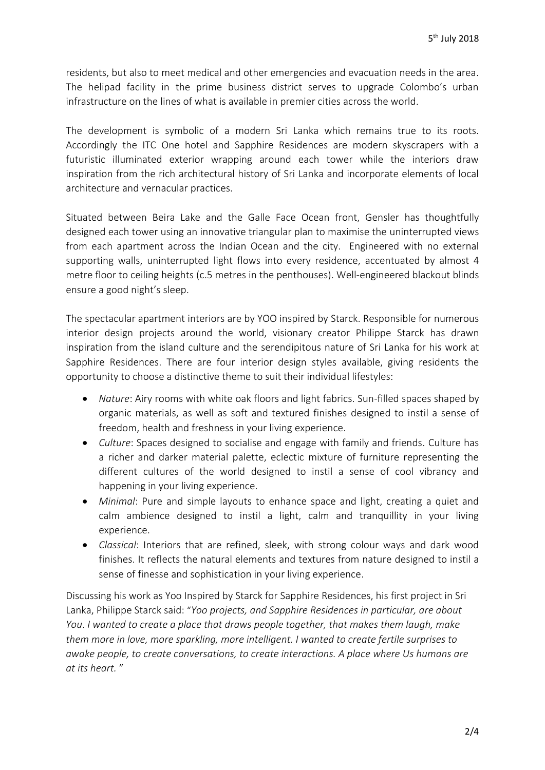residents, but also to meet medical and other emergencies and evacuation needs in the area. The helipad facility in the prime business district serves to upgrade Colombo's urban infrastructure on the lines of what is available in premier cities across the world.

The development is symbolic of a modern Sri Lanka which remains true to its roots. Accordingly the ITC One hotel and Sapphire Residences are modern skyscrapers with a futuristic illuminated exterior wrapping around each tower while the interiors draw inspiration from the rich architectural history of Sri Lanka and incorporate elements of local architecture and vernacular practices.

Situated between Beira Lake and the Galle Face Ocean front, Gensler has thoughtfully designed each tower using an innovative triangular plan to maximise the uninterrupted views from each apartment across the Indian Ocean and the city. Engineered with no external supporting walls, uninterrupted light flows into every residence, accentuated by almost 4 metre floor to ceiling heights (c.5 metres in the penthouses). Well-engineered blackout blinds ensure a good night's sleep.

The spectacular apartment interiors are by YOO inspired by Starck. Responsible for numerous interior design projects around the world, visionary creator Philippe Starck has drawn inspiration from the island culture and the serendipitous nature of Sri Lanka for his work at Sapphire Residences. There are four interior design styles available, giving residents the opportunity to choose a distinctive theme to suit their individual lifestyles:

- *Nature*: Airy rooms with white oak floors and light fabrics. Sun-filled spaces shaped by organic materials, as well as soft and textured finishes designed to instil a sense of freedom, health and freshness in your living experience.
- *Culture*: Spaces designed to socialise and engage with family and friends. Culture has a richer and darker material palette, eclectic mixture of furniture representing the different cultures of the world designed to instil a sense of cool vibrancy and happening in your living experience.
- *Minimal*: Pure and simple layouts to enhance space and light, creating a quiet and calm ambience designed to instil a light, calm and tranquillity in your living experience.
- *Classical*: Interiors that are refined, sleek, with strong colour ways and dark wood finishes. It reflects the natural elements and textures from nature designed to instil a sense of finesse and sophistication in your living experience.

Discussing his work as Yoo Inspired by Starck for Sapphire Residences, his first project in Sri Lanka, Philippe Starck said: "*Yoo projects, and Sapphire Residences in particular, are about You*. *I wanted to create a place that draws people together, that makes them laugh, make them more in love, more sparkling, more intelligent. I wanted to create fertile surprises to awake people, to create conversations, to create interactions. A place where Us humans are at its heart.* "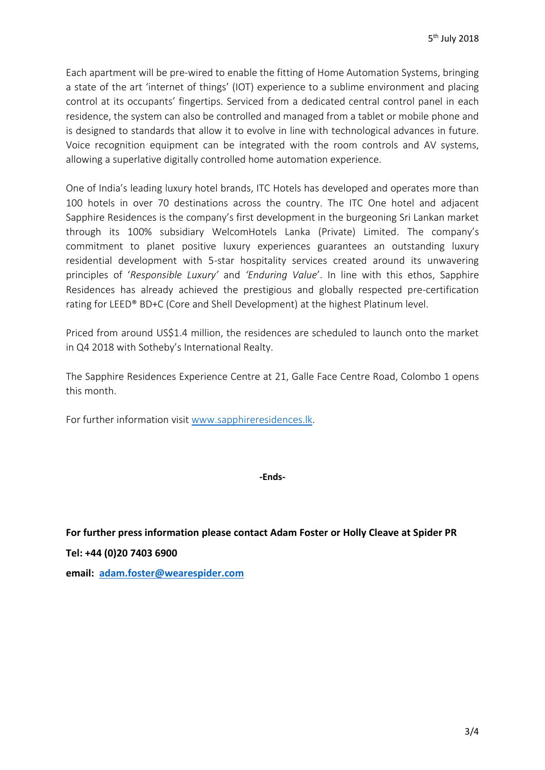Each apartment will be pre-wired to enable the fitting of Home Automation Systems, bringing a state of the art 'internet of things' (IOT) experience to a sublime environment and placing control at its occupants' fingertips. Serviced from a dedicated central control panel in each residence, the system can also be controlled and managed from a tablet or mobile phone and is designed to standards that allow it to evolve in line with technological advances in future. Voice recognition equipment can be integrated with the room controls and AV systems, allowing a superlative digitally controlled home automation experience.

One of India's leading luxury hotel brands, ITC Hotels has developed and operates more than 100 hotels in over 70 destinations across the country. The ITC One hotel and adjacent Sapphire Residences is the company's first development in the burgeoning Sri Lankan market through its 100% subsidiary WelcomHotels Lanka (Private) Limited. The company's commitment to planet positive luxury experiences guarantees an outstanding luxury residential development with 5-star hospitality services created around its unwavering principles of '*Responsible Luxury'* and *'Enduring Value*'. In line with this ethos, Sapphire Residences has already achieved the prestigious and globally respected pre-certification rating for LEED® BD+C (Core and Shell Development) at the highest Platinum level.

Priced from around US\$1.4 million, the residences are scheduled to launch onto the market in Q4 2018 with Sotheby's International Realty.

The Sapphire Residences Experience Centre at 21, Galle Face Centre Road, Colombo 1 opens this month.

For further information visit [www.sapphireresidences.lk.](http://www.sapphireresidences.lk/)

**-Ends-**

**For further press information please contact Adam Foster or Holly Cleave at Spider PR Tel: +44 (0)20 7403 6900** 

**email: [adam.foster@wearespider.com](mailto:adam.foster@wearespider.com)**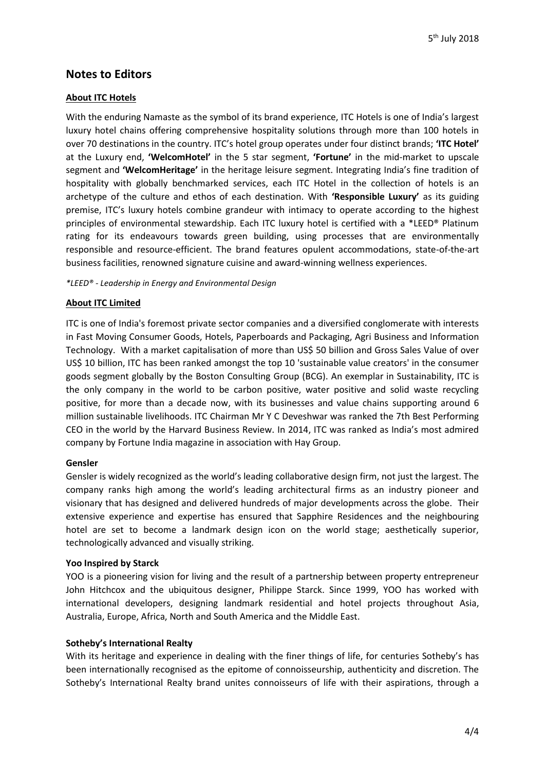# **Notes to Editors**

# **About ITC Hotels**

With the enduring Namaste as the symbol of its brand experience, ITC Hotels is one of India's largest luxury hotel chains offering comprehensive hospitality solutions through more than 100 hotels in over 70 destinations in the country. ITC's hotel group operates under four distinct brands; **'ITC Hotel'** at the Luxury end, **'WelcomHotel'** in the 5 star segment, **'Fortune'** in the mid-market to upscale segment and **'WelcomHeritage'** in the heritage leisure segment. Integrating India's fine tradition of hospitality with globally benchmarked services, each ITC Hotel in the collection of hotels is an archetype of the culture and ethos of each destination. With **'Responsible Luxury'** as its guiding premise, ITC's luxury hotels combine grandeur with intimacy to operate according to the highest principles of environmental stewardship. Each ITC luxury hotel is certified with a \*LEED® Platinum rating for its endeavours towards green building, using processes that are environmentally responsible and resource-efficient. The brand features opulent accommodations, state-of-the-art business facilities, renowned signature cuisine and award-winning wellness experiences.

*\*LEED® - Leadership in Energy and Environmental Design*

## **About ITC Limited**

ITC is one of India's foremost private sector companies and a diversified conglomerate with interests in Fast Moving Consumer Goods, Hotels, Paperboards and Packaging, Agri Business and Information Technology. With a market capitalisation of more than US\$ 50 billion and Gross Sales Value of over US\$ 10 billion, ITC has been ranked amongst the top 10 'sustainable value creators' in the consumer goods segment globally by the Boston Consulting Group (BCG). An exemplar in Sustainability, ITC is the only company in the world to be carbon positive, water positive and solid waste recycling positive, for more than a decade now, with its businesses and value chains supporting around 6 million sustainable livelihoods. ITC Chairman Mr Y C Deveshwar was ranked the 7th Best Performing CEO in the world by the Harvard Business Review. In 2014, ITC was ranked as India's most admired company by Fortune India magazine in association with Hay Group.

### **Gensler**

Gensler is widely recognized as the world's leading collaborative design firm, not just the largest. The company ranks high among the world's leading architectural firms as an industry pioneer and visionary that has designed and delivered hundreds of major developments across the globe. Their extensive experience and expertise has ensured that Sapphire Residences and the neighbouring hotel are set to become a landmark design icon on the world stage; aesthetically superior, technologically advanced and visually striking.

### **Yoo Inspired by Starck**

YOO is a pioneering vision for living and the result of a partnership between property entrepreneur John Hitchcox and the ubiquitous designer, Philippe Starck. Since 1999, YOO has worked with international developers, designing landmark residential and hotel projects throughout Asia, Australia, Europe, Africa, North and South America and the Middle East.

### **Sotheby's International Realty**

With its heritage and experience in dealing with the finer things of life, for centuries Sotheby's has been internationally recognised as the epitome of connoisseurship, authenticity and discretion. The Sotheby's International Realty brand unites connoisseurs of life with their aspirations, through a